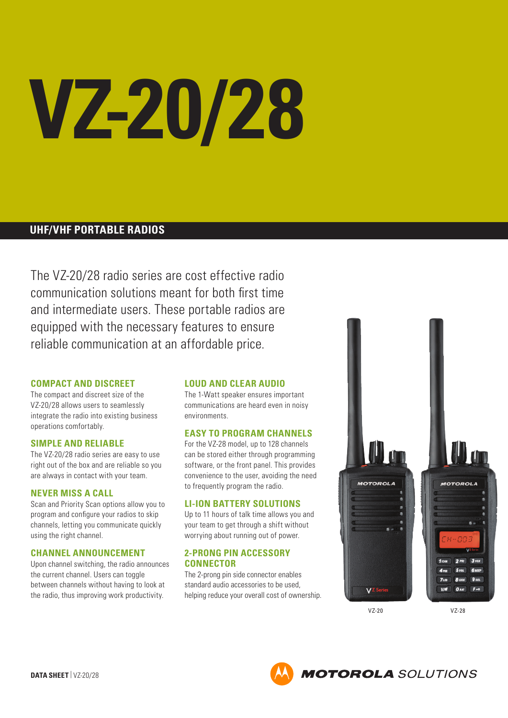# **VZ-20/28**

# **UHF/VHF PORTABLE RADIOS**

The VZ-20/28 radio series are cost effective radio communication solutions meant for both first time and intermediate users. These portable radios are equipped with the necessary features to ensure reliable communication at an affordable price.

# **COMPACT AND DISCREET**

The compact and discreet size of the VZ-20/28 allows users to seamlessly integrate the radio into existing business operations comfortably.

# **SIMPLE AND RELIABLE**

The VZ-20/28 radio series are easy to use right out of the box and are reliable so you are always in contact with your team.

# **NEVER MISS A CALL**

Scan and Priority Scan options allow you to program and configure your radios to skip channels, letting you communicate quickly using the right channel.

# **CHANNEL ANNOUNCEMENT**

Upon channel switching, the radio announces the current channel. Users can toggle between channels without having to look at the radio, thus improving work productivity.

# **LOUD AND CLEAR AUDIO**

The 1-Watt speaker ensures important communications are heard even in noisy environments.

# **EASY TO PROGRAM CHANNELS**

For the VZ-28 model, up to 128 channels can be stored either through programming software, or the front panel. This provides convenience to the user, avoiding the need to frequently program the radio.

# **LI-ION BATTERY SOLUTIONS**

Up to 11 hours of talk time allows you and your team to get through a shift without worrying about running out of power.

# **2-PRONG PIN ACCESSORY CONNECTOR**

The 2-prong pin side connector enables standard audio accessories to be used, helping reduce your overall cost of ownership.